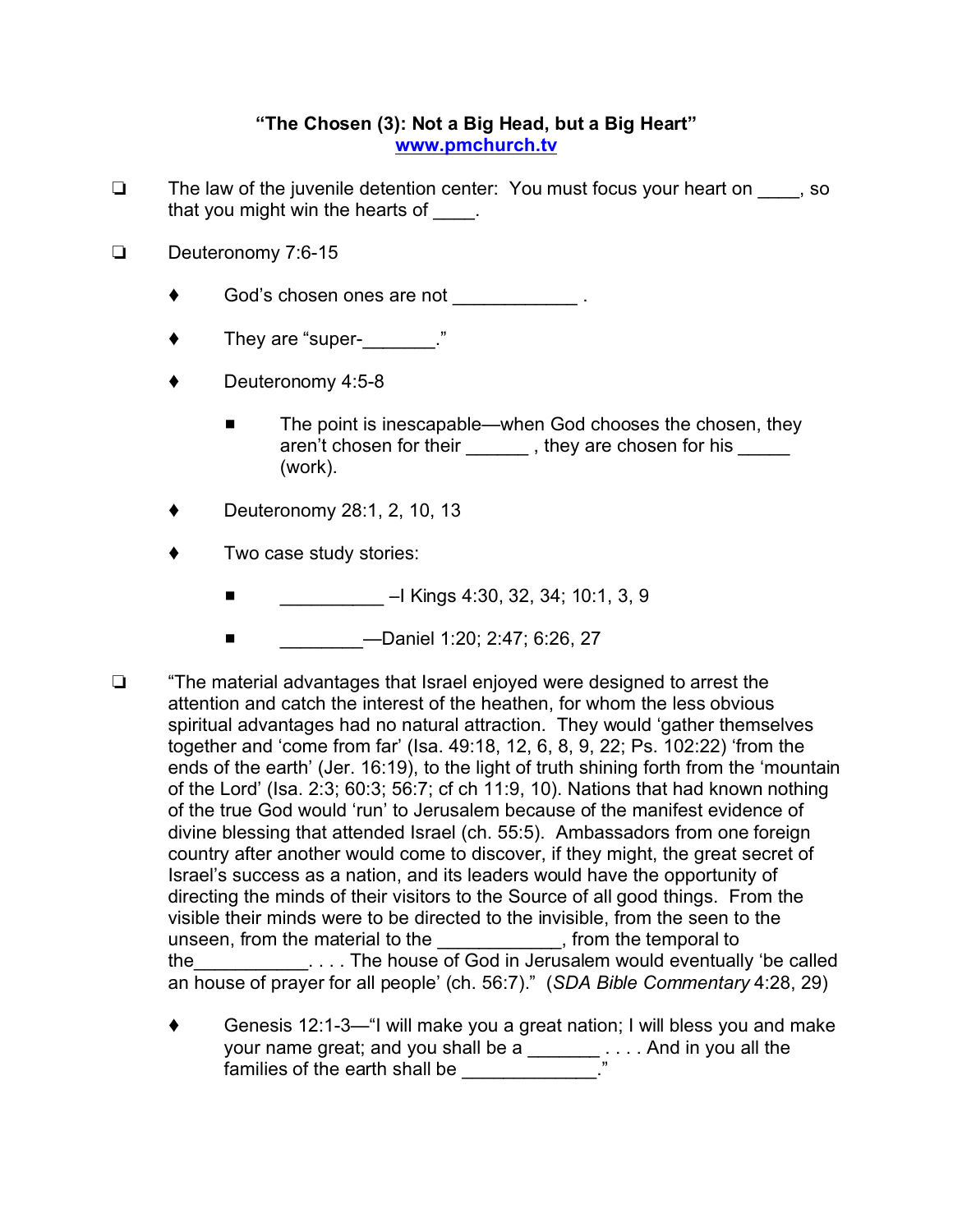## **"The Chosen (3): Not a Big Head, but a Big Heart" [www.pmchurch.tv](http://Www.pmchurch.tv)**

- $\Box$  The law of the juvenile detention center: You must focus your heart on  $\Box$ , so that you might win the hearts of  $\qquad$ .
- Deuteronomy 7:6-15
	- ◆ God's chosen ones are not \_\_\_\_\_\_\_\_\_\_\_\_\_\_\_ .
	- ◆ They are "super- \_\_\_\_\_\_\_\_."
	- Deuteronomy 4:5-8
		- The point is inescapable—when God chooses the chosen, they aren't chosen for their \_\_\_\_\_\_\_, they are chosen for his \_\_\_\_\_ (work).
	- Deuteronomy 28:1, 2, 10, 13
	- Two case study stories:
		- $\blacksquare$  –I Kings 4:30, 32, 34; 10:1, 3, 9
		- # \_\_\_\_\_\_\_\_—Daniel 1:20; 2:47; 6:26, 27
- $\Box$  "The material advantages that Israel enjoyed were designed to arrest the attention and catch the interest of the heathen, for whom the less obvious spiritual advantages had no natural attraction. They would 'gather themselves together and 'come from far' (Isa. 49:18, 12, 6, 8, 9, 22; Ps. 102:22) 'from the ends of the earth' (Jer. 16:19), to the light of truth shining forth from the 'mountain of the Lord' (Isa. 2:3; 60:3; 56:7; cf ch 11:9, 10). Nations that had known nothing of the true God would 'run' to Jerusalem because of the manifest evidence of divine blessing that attended Israel (ch. 55:5). Ambassadors from one foreign country after another would come to discover, if they might, the great secret of Israel's success as a nation, and its leaders would have the opportunity of directing the minds of their visitors to the Source of all good things. From the visible their minds were to be directed to the invisible, from the seen to the unseen, from the material to the end only if from the temporal to the\_\_\_\_\_\_\_\_\_\_\_. . . . The house of God in Jerusalem would eventually 'be called an house of prayer for all people' (ch. 56:7)." (*SDA Bible Commentary* 4:28, 29)
	- ◆ Genesis 12:1-3—"I will make you a great nation; I will bless you and make your name great; and you shall be a \_\_\_\_\_\_\_\_\_. . . . And in you all the families of the earth shall be \_\_\_\_\_\_\_\_\_\_\_\_\_\_